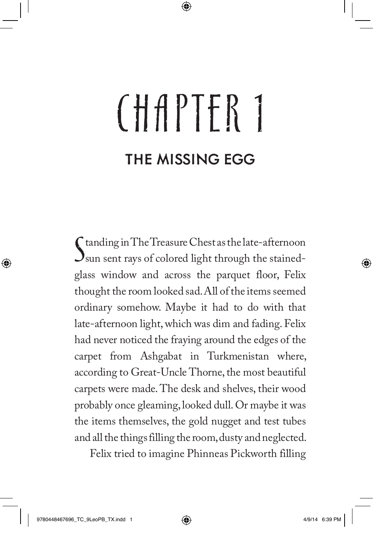## CHAPTER 1 THE MISSING EGG

Standing in The Treasure Chest as the late-afternoon<br>Sun sent rays of colored light through the stainedtanding in The Treasure Chest as the late-afternoon glass window and across the parquet floor, Felix thought the room looked sad. All of the items seemed ordinary somehow. Maybe it had to do with that late-afternoon light, which was dim and fading. Felix had never noticed the fraying around the edges of the carpet from Ashgabat in Turkmenistan where, according to Great-Uncle Thorne, the most beautiful carpets were made. The desk and shelves, their wood probably once gleaming, looked dull. Or maybe it was the items themselves, the gold nugget and test tubes and all the things filling the room, dusty and neglected.

Felix tried to imagine Phinneas Pickworth filling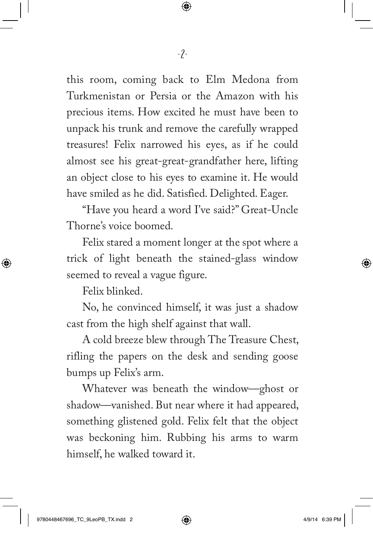this room, coming back to Elm Medona from Turkmenistan or Persia or the Amazon with his precious items. How excited he must have been to unpack his trunk and remove the carefully wrapped treasures! Felix narrowed his eyes, as if he could almost see his great-great-grandfather here, lifting an object close to his eyes to examine it. He would have smiled as he did. Satisfied. Delighted. Eager.

"Have you heard a word I've said?" Great-Uncle Thorne's voice boomed.

Felix stared a moment longer at the spot where a trick of light beneath the stained-glass window seemed to reveal a vague figure.

Felix blinked.

No, he convinced himself, it was just a shadow cast from the high shelf against that wall.

A cold breeze blew through The Treasure Chest, rifling the papers on the desk and sending goose bumps up Felix's arm.

Whatever was beneath the window—ghost or shadow—vanished. But near where it had appeared, something glistened gold. Felix felt that the object was beckoning him. Rubbing his arms to warm himself, he walked toward it.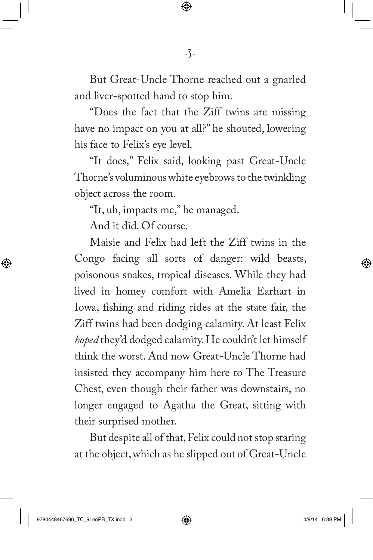But Great-Uncle Thorne reached out a gnarled and liver-spotted hand to stop him.

"Does the fact that the Ziff twins are missing have no impact on you at all?" he shouted, lowering his face to Felix's eye level.

"It does," Felix said, looking past Great-Uncle Thorne's voluminous white eyebrows to the twinkling object across the room.

"It, uh, impacts me," he managed.

And it did. Of course.

Maisie and Felix had left the Ziff twins in the Congo facing all sorts of danger: wild beasts, poisonous snakes, tropical diseases. While they had lived in homey comfort with Amelia Earhart in Iowa, fishing and riding rides at the state fair, the Ziff twins had been dodging calamity. At least Felix *hoped* they'd dodged calamity. He couldn't let himself think the worst. And now Great-Uncle Thorne had insisted they accompany him here to The Treasure Chest, even though their father was downstairs, no longer engaged to Agatha the Great, sitting with their surprised mother.

But despite all of that, Felix could not stop staring at the object, which as he slipped out of Great-Uncle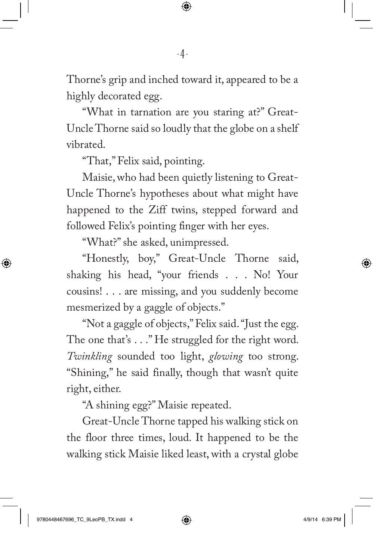Thorne's grip and inched toward it, appeared to be a highly decorated egg.

"What in tarnation are you staring at?" Great-Uncle Thorne said so loudly that the globe on a shelf vibrated.

"That," Felix said, pointing.

Maisie, who had been quietly listening to Great-Uncle Thorne's hypotheses about what might have happened to the Ziff twins, stepped forward and followed Felix's pointing finger with her eyes.

"What?" she asked, unimpressed.

"Honestly, boy," Great-Uncle Thorne said, shaking his head, "your friends . . . No! Your cousins! . . . are missing, and you suddenly become mesmerized by a gaggle of objects."

"Not a gaggle of objects," Felix said. "Just the egg. The one that's . . ." He struggled for the right word. *Twinkling* sounded too light, *glowing* too strong. "Shining," he said finally, though that wasn't quite right, either.

"A shining egg?" Maisie repeated.

Great-Uncle Thorne tapped his walking stick on the floor three times, loud. It happened to be the walking stick Maisie liked least, with a crystal globe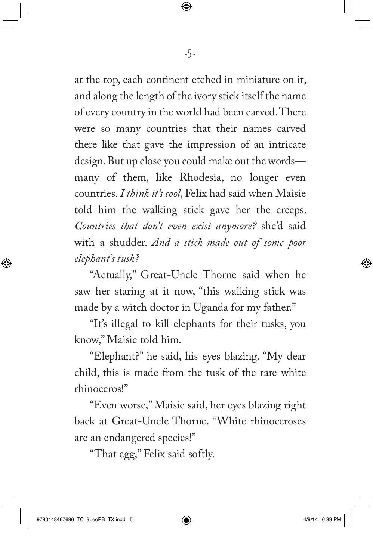at the top, each continent etched in miniature on it, and along the length of the ivory stick itself the name of every country in the world had been carved. There were so many countries that their names carved there like that gave the impression of an intricate design. But up close you could make out the words many of them, like Rhodesia, no longer even countries. *I think it's cool*, Felix had said when Maisie told him the walking stick gave her the creeps. *Countries that don't even exist anymore?* she'd said with a shudder. *And a stick made out of some poor elephant's tusk?*

"Actually," Great-Uncle Thorne said when he saw her staring at it now, "this walking stick was made by a witch doctor in Uganda for my father."

"It's illegal to kill elephants for their tusks, you know," Maisie told him.

"Elephant?" he said, his eyes blazing. "My dear child, this is made from the tusk of the rare white rhinoceros!"

"Even worse," Maisie said, her eyes blazing right back at Great-Uncle Thorne. "White rhinoceroses are an endangered species!"

"That egg," Felix said softly.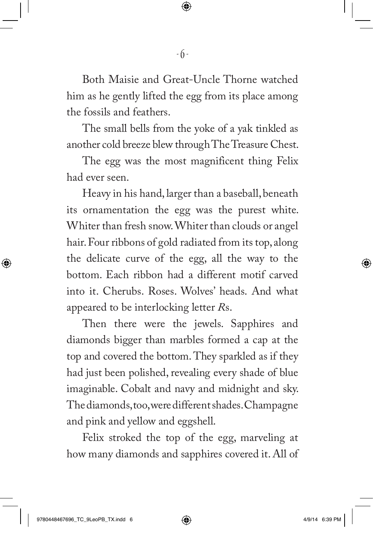Both Maisie and Great-Uncle Thorne watched him as he gently lifted the egg from its place among the fossils and feathers.

The small bells from the yoke of a yak tinkled as another cold breeze blew through The Treasure Chest.

The egg was the most magnificent thing Felix had ever seen.

Heavy in his hand, larger than a baseball, beneath its ornamentation the egg was the purest white. Whiter than fresh snow. Whiter than clouds or angel hair. Four ribbons of gold radiated from its top, along the delicate curve of the egg, all the way to the bottom. Each ribbon had a different motif carved into it. Cherubs. Roses. Wolves' heads. And what appeared to be interlocking letter *R*s.

Then there were the jewels. Sapphires and diamonds bigger than marbles formed a cap at the top and covered the bottom. They sparkled as if they had just been polished, revealing every shade of blue imaginable. Cobalt and navy and midnight and sky. The diamonds, too, were different shades. Champagne and pink and yellow and eggshell.

Felix stroked the top of the egg, marveling at how many diamonds and sapphires covered it. All of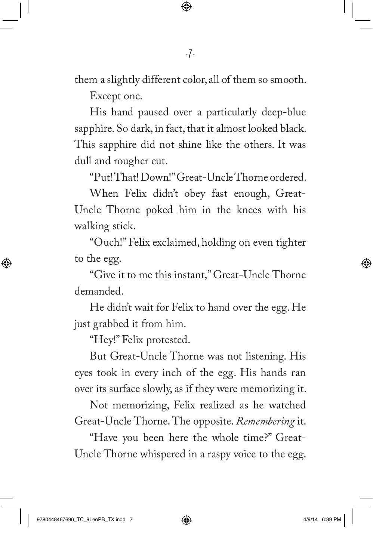them a slightly different color, all of them so smooth.

Except one.

His hand paused over a particularly deep-blue sapphire. So dark, in fact, that it almost looked black. This sapphire did not shine like the others. It was dull and rougher cut.

"Put! That! Down!"Great-Uncle Thorne ordered.

When Felix didn't obey fast enough, Great-Uncle Thorne poked him in the knees with his walking stick.

"Ouch!" Felix exclaimed, holding on even tighter to the egg.

"Give it to me this instant," Great-Uncle Thorne demanded.

He didn't wait for Felix to hand over the egg. He just grabbed it from him.

"Hey!" Felix protested.

But Great-Uncle Thorne was not listening. His eyes took in every inch of the egg. His hands ran over its surface slowly, as if they were memorizing it.

Not memorizing, Felix realized as he watched Great-Uncle Thorne. The opposite. *Remembering* it.

"Have you been here the whole time?" Great-Uncle Thorne whispered in a raspy voice to the egg.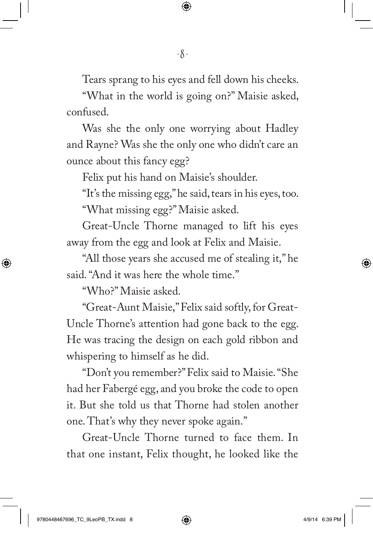Tears sprang to his eyes and fell down his cheeks.

"What in the world is going on?" Maisie asked, confused.

Was she the only one worrying about Hadley and Rayne? Was she the only one who didn't care an ounce about this fancy egg?

Felix put his hand on Maisie's shoulder.

"It's the missing egg," he said, tears in his eyes, too.

"What missing egg?" Maisie asked.

Great-Uncle Thorne managed to lift his eyes away from the egg and look at Felix and Maisie.

"All those years she accused me of stealing it," he said. "And it was here the whole time."

"Who?" Maisie asked.

"Great-Aunt Maisie," Felix said softly, for Great-Uncle Thorne's attention had gone back to the egg. He was tracing the design on each gold ribbon and whispering to himself as he did.

"Don't you remember?" Felix said to Maisie. "She had her Fabergé egg, and you broke the code to open it. But she told us that Thorne had stolen another one. That's why they never spoke again."

Great-Uncle Thorne turned to face them. In that one instant, Felix thought, he looked like the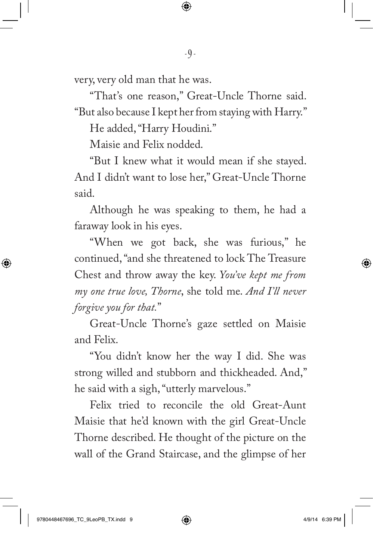very, very old man that he was.

"That's one reason," Great-Uncle Thorne said. "But also because I kept her from staying with Harry."

He added, "Harry Houdini."

Maisie and Felix nodded.

"But I knew what it would mean if she stayed. And I didn't want to lose her," Great-Uncle Thorne said.

Although he was speaking to them, he had a faraway look in his eyes.

"When we got back, she was furious," he continued, "and she threatened to lock The Treasure Chest and throw away the key. *You've kept me from my one true love, Thorne*, she told me. *And I'll never forgive you for that.*"

Great-Uncle Thorne's gaze settled on Maisie and Felix.

"You didn't know her the way I did. She was strong willed and stubborn and thickheaded. And," he said with a sigh, "utterly marvelous."

Felix tried to reconcile the old Great-Aunt Maisie that he'd known with the girl Great-Uncle Thorne described. He thought of the picture on the wall of the Grand Staircase, and the glimpse of her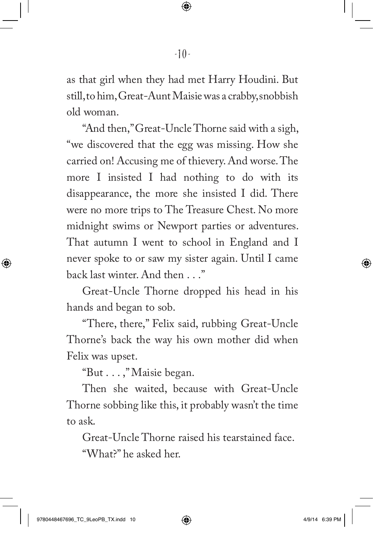as that girl when they had met Harry Houdini. But still, to him, Great-Aunt Maisie was a crabby, snobbish old woman.

"And then," Great-Uncle Thorne said with a sigh, "we discovered that the egg was missing. How she carried on! Accusing me of thievery. And worse. The more I insisted I had nothing to do with its disappearance, the more she insisted I did. There were no more trips to The Treasure Chest. No more midnight swims or Newport parties or adventures. That autumn I went to school in England and I never spoke to or saw my sister again. Until I came back last winter. And then . . ."

Great-Uncle Thorne dropped his head in his hands and began to sob.

"There, there," Felix said, rubbing Great-Uncle Thorne's back the way his own mother did when Felix was upset.

"But . . . ," Maisie began.

Then she waited, because with Great-Uncle Thorne sobbing like this, it probably wasn't the time to ask.

Great-Uncle Thorne raised his tearstained face. "What?" he asked her.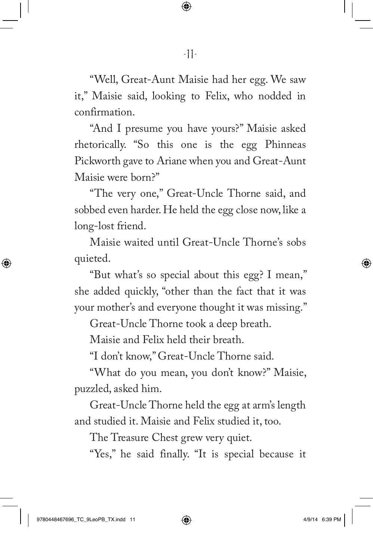"Well, Great-Aunt Maisie had her egg. We saw it," Maisie said, looking to Felix, who nodded in confirmation.

"And I presume you have yours?" Maisie asked rhetorically. "So this one is the egg Phinneas Pickworth gave to Ariane when you and Great-Aunt Maisie were born?"

"The very one," Great-Uncle Thorne said, and sobbed even harder. He held the egg close now, like a long-lost friend.

Maisie waited until Great-Uncle Thorne's sobs quieted.

"But what's so special about this egg? I mean," she added quickly, "other than the fact that it was your mother's and everyone thought it was missing."

Great-Uncle Thorne took a deep breath.

Maisie and Felix held their breath.

"I don't know," Great-Uncle Thorne said.

"What do you mean, you don't know?" Maisie, puzzled, asked him.

Great-Uncle Thorne held the egg at arm's length and studied it. Maisie and Felix studied it, too.

The Treasure Chest grew very quiet.

"Yes," he said finally. "It is special because it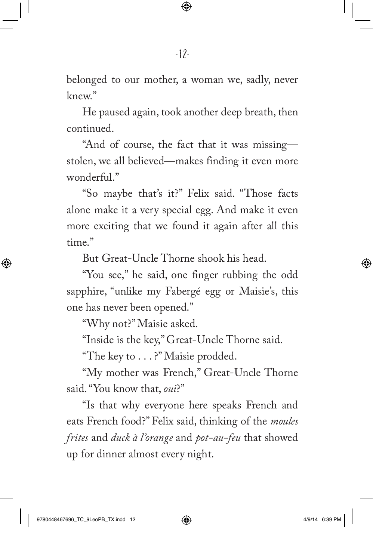belonged to our mother, a woman we, sadly, never knew."

He paused again, took another deep breath, then continued.

"And of course, the fact that it was missing stolen, we all believed—makes finding it even more wonderful."

"So maybe that's it?" Felix said. "Those facts alone make it a very special egg. And make it even more exciting that we found it again after all this time."

But Great-Uncle Thorne shook his head.

"You see," he said, one finger rubbing the odd sapphire, "unlike my Fabergé egg or Maisie's, this one has never been opened."

"Why not?" Maisie asked.

"Inside is the key," Great-Uncle Thorne said.

"The key to . . . ?" Maisie prodded.

"My mother was French," Great-Uncle Thorne said. "You know that, *oui*?"

"Is that why everyone here speaks French and eats French food?" Felix said, thinking of the *moules frites* and *duck à l'orange* and *pot-au-feu* that showed up for dinner almost every night.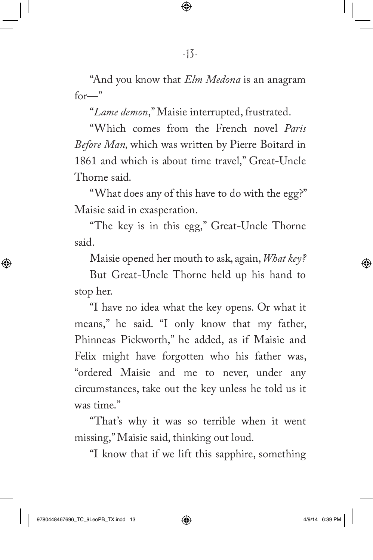"And you know that *Elm Medona* is an anagram  $for -$ "

"*Lame demon*," Maisie interrupted, frustrated.

"Which comes from the French novel *Paris Before Man,* which was written by Pierre Boitard in 1861 and which is about time travel," Great-Uncle Thorne said.

"What does any of this have to do with the egg?" Maisie said in exasperation.

"The key is in this egg," Great-Uncle Thorne said.

Maisie opened her mouth to ask, again, *What key?*

But Great-Uncle Thorne held up his hand to stop her.

"I have no idea what the key opens. Or what it means," he said. "I only know that my father, Phinneas Pickworth," he added, as if Maisie and Felix might have forgotten who his father was, "ordered Maisie and me to never, under any circumstances, take out the key unless he told us it was time."

"That's why it was so terrible when it went missing," Maisie said, thinking out loud.

"I know that if we lift this sapphire, something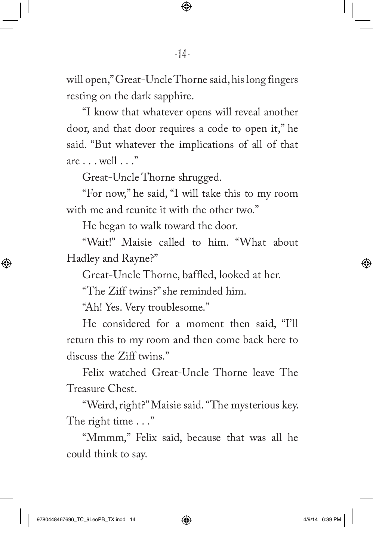will open," Great-Uncle Thorne said, his long fingers resting on the dark sapphire.

"I know that whatever opens will reveal another door, and that door requires a code to open it," he said. "But whatever the implications of all of that are . . . well . . ."

Great-Uncle Thorne shrugged.

"For now," he said, "I will take this to my room with me and reunite it with the other two."

He began to walk toward the door.

"Wait!" Maisie called to him. "What about Hadley and Rayne?"

Great-Uncle Thorne, baffled, looked at her.

"The Ziff twins?" she reminded him.

"Ah! Yes. Very troublesome."

He considered for a moment then said, "I'll return this to my room and then come back here to discuss the Ziff twins."

Felix watched Great-Uncle Thorne leave The Treasure Chest.

"Weird, right?" Maisie said. "The mysterious key. The right time . . ."

"Mmmm," Felix said, because that was all he could think to say.